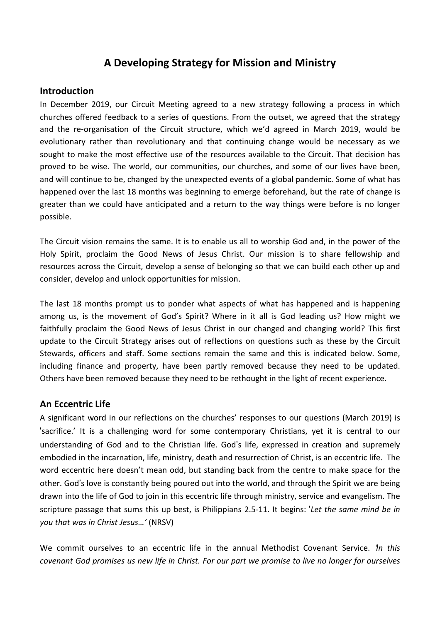# **A Developing Strategy for Mission and Ministry**

### **Introduction**

In December 2019, our Circuit Meeting agreed to a new strategy following a process in which churches offered feedback to a series of questions. From the outset, we agreed that the strategy and the re-organisation of the Circuit structure, which we'd agreed in March 2019, would be evolutionary rather than revolutionary and that continuing change would be necessary as we sought to make the most effective use of the resources available to the Circuit. That decision has proved to be wise. The world, our communities, our churches, and some of our lives have been, and will continue to be, changed by the unexpected events of a global pandemic. Some of what has happened over the last 18 months was beginning to emerge beforehand, but the rate of change is greater than we could have anticipated and a return to the way things were before is no longer possible.

The Circuit vision remains the same. It is to enable us all to worship God and, in the power of the Holy Spirit, proclaim the Good News of Jesus Christ. Our mission is to share fellowship and resources across the Circuit, develop a sense of belonging so that we can build each other up and consider, develop and unlock opportunities for mission.

The last 18 months prompt us to ponder what aspects of what has happened and is happening among us, is the movement of God's Spirit? Where in it all is God leading us? How might we faithfully proclaim the Good News of Jesus Christ in our changed and changing world? This first update to the Circuit Strategy arises out of reflections on questions such as these by the Circuit Stewards, officers and staff. Some sections remain the same and this is indicated below. Some, including finance and property, have been partly removed because they need to be updated. Others have been removed because they need to be rethought in the light of recent experience.

# **An Eccentric Life**

A significant word in our reflections on the churches' responses to our questions (March 2019) is 'sacrifice.' It is a challenging word for some contemporary Christians, yet it is central to our understanding of God and to the Christian life. God's life, expressed in creation and supremely embodied in the incarnation, life, ministry, death and resurrection of Christ, is an eccentric life. The word eccentric here doesn't mean odd, but standing back from the centre to make space for the other. God's love is constantly being poured out into the world, and through the Spirit we are being drawn into the life of God to join in this eccentric life through ministry, service and evangelism. The scripture passage that sums this up best, is Philippians 2.5-11. It begins: '*Let the same mind be in you that was in Christ Jesus…'* (NRSV)

We commit ourselves to an eccentric life in the annual Methodist Covenant Service. '*In this* covenant God promises us new life in Christ. For our part we promise to live no longer for ourselves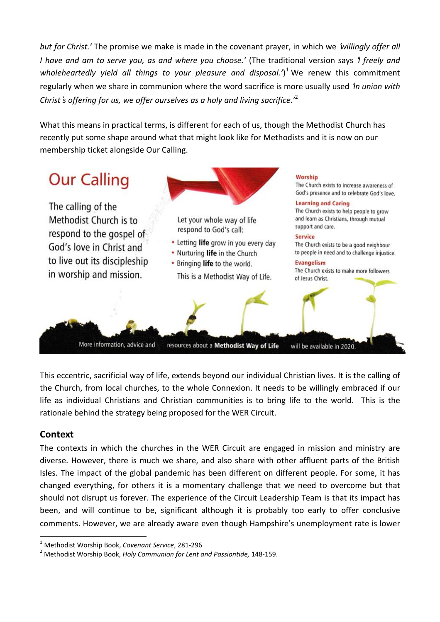*but for Christ.'* The promise we make is made in the covenant prayer, in which we '*willingly offer all I have and am to serve you, as and where you choose.'* (The traditional version says '*I freely and wholeheartedly yield all things to your pleasure and disposal.'*) <sup>1</sup> We renew this commitment regularly when we share in communion where the word sacrifice is more usually used '*In union with Christ*'*s offering for us, we offer ourselves as a holy and living sacrifice.'*<sup>2</sup>

What this means in practical terms, is different for each of us, though the Methodist Church has recently put some shape around what that might look like for Methodists and it is now on our membership ticket alongside Our Calling.



This eccentric, sacrificial way of life, extends beyond our individual Christian lives. It is the calling of the Church, from local churches, to the whole Connexion. It needs to be willingly embraced if our life as individual Christians and Christian communities is to bring life to the world. This is the rationale behind the strategy being proposed for the WER Circuit.

# **Context**

 $\overline{a}$ 

The contexts in which the churches in the WER Circuit are engaged in mission and ministry are diverse. However, there is much we share, and also share with other affluent parts of the British Isles. The impact of the global pandemic has been different on different people. For some, it has changed everything, for others it is a momentary challenge that we need to overcome but that should not disrupt us forever. The experience of the Circuit Leadership Team is that its impact has been, and will continue to be, significant although it is probably too early to offer conclusive comments. However, we are already aware even though Hampshire's unemployment rate is lower

<sup>1</sup> Methodist Worship Book, *Covenant Service*, 281-296

<sup>2</sup> Methodist Worship Book, *Holy Communion for Lent and Passiontide,* 148-159.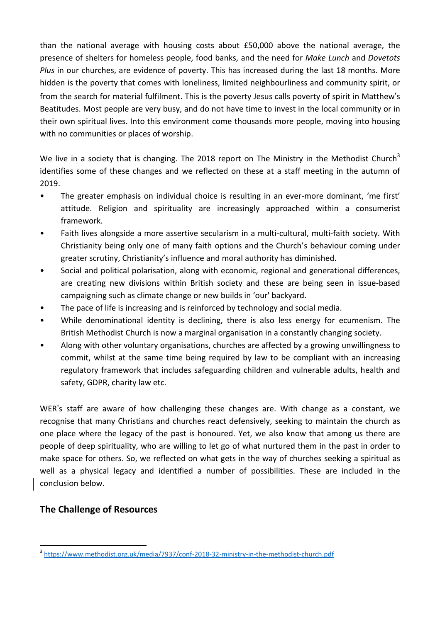than the national average with housing costs about £50,000 above the national average, the presence of shelters for homeless people, food banks, and the need for *Make Lunch* and *Dovetots Plus* in our churches, are evidence of poverty. This has increased during the last 18 months. More hidden is the poverty that comes with loneliness, limited neighbourliness and community spirit, or from the search for material fulfilment. This is the poverty Jesus calls poverty of spirit in Matthew's Beatitudes. Most people are very busy, and do not have time to invest in the local community or in their own spiritual lives. Into this environment come thousands more people, moving into housing with no communities or places of worship.

We live in a society that is changing. The 2018 report on The Ministry in the Methodist Church<sup>3</sup> identifies some of these changes and we reflected on these at a staff meeting in the autumn of 2019.

- The greater emphasis on individual choice is resulting in an ever-more dominant, 'me first' attitude. Religion and spirituality are increasingly approached within a consumerist framework.
- Faith lives alongside a more assertive secularism in a multi-cultural, multi-faith society. With Christianity being only one of many faith options and the Church's behaviour coming under greater scrutiny, Christianity's influence and moral authority has diminished.
- Social and political polarisation, along with economic, regional and generational differences, are creating new divisions within British society and these are being seen in issue-based campaigning such as climate change or new builds in 'our' backyard.
- The pace of life is increasing and is reinforced by technology and social media.
- While denominational identity is declining, there is also less energy for ecumenism. The British Methodist Church is now a marginal organisation in a constantly changing society.
- Along with other voluntary organisations, churches are affected by a growing unwillingness to commit, whilst at the same time being required by law to be compliant with an increasing regulatory framework that includes safeguarding children and vulnerable adults, health and safety, GDPR, charity law etc.

WER's staff are aware of how challenging these changes are. With change as a constant, we recognise that many Christians and churches react defensively, seeking to maintain the church as one place where the legacy of the past is honoured. Yet, we also know that among us there are people of deep spirituality, who are willing to let go of what nurtured them in the past in order to make space for others. So, we reflected on what gets in the way of churches seeking a spiritual as well as a physical legacy and identified a number of possibilities. These are included in the conclusion below.

# **The Challenge of Resources**

 $\overline{a}$ <sup>3</sup> <https://www.methodist.org.uk/media/7937/conf-2018-32-ministry-in-the-methodist-church.pdf>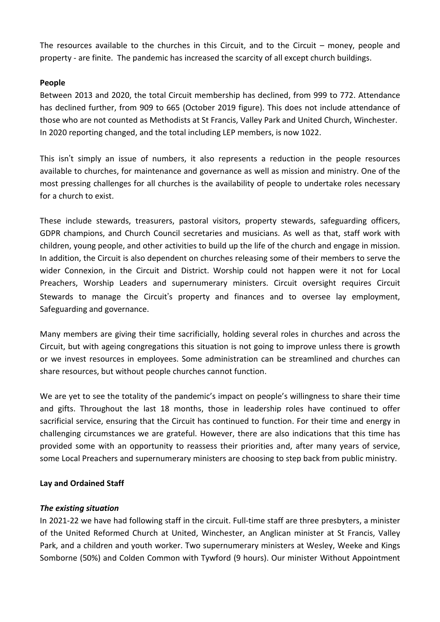The resources available to the churches in this Circuit, and to the Circuit – money, people and property - are finite. The pandemic has increased the scarcity of all except church buildings.

### **People**

Between 2013 and 2020, the total Circuit membership has declined, from 999 to 772. Attendance has declined further, from 909 to 665 (October 2019 figure). This does not include attendance of those who are not counted as Methodists at St Francis, Valley Park and United Church, Winchester. In 2020 reporting changed, and the total including LEP members, is now 1022.

This isn't simply an issue of numbers, it also represents a reduction in the people resources available to churches, for maintenance and governance as well as mission and ministry. One of the most pressing challenges for all churches is the availability of people to undertake roles necessary for a church to exist.

These include stewards, treasurers, pastoral visitors, property stewards, safeguarding officers, GDPR champions, and Church Council secretaries and musicians. As well as that, staff work with children, young people, and other activities to build up the life of the church and engage in mission. In addition, the Circuit is also dependent on churches releasing some of their members to serve the wider Connexion, in the Circuit and District. Worship could not happen were it not for Local Preachers, Worship Leaders and supernumerary ministers. Circuit oversight requires Circuit Stewards to manage the Circuit's property and finances and to oversee lay employment, Safeguarding and governance.

Many members are giving their time sacrificially, holding several roles in churches and across the Circuit, but with ageing congregations this situation is not going to improve unless there is growth or we invest resources in employees. Some administration can be streamlined and churches can share resources, but without people churches cannot function.

We are yet to see the totality of the pandemic's impact on people's willingness to share their time and gifts. Throughout the last 18 months, those in leadership roles have continued to offer sacrificial service, ensuring that the Circuit has continued to function. For their time and energy in challenging circumstances we are grateful. However, there are also indications that this time has provided some with an opportunity to reassess their priorities and, after many years of service, some Local Preachers and supernumerary ministers are choosing to step back from public ministry.

#### **Lay and Ordained Staff**

#### *The existing situation*

In 2021-22 we have had following staff in the circuit. Full-time staff are three presbyters, a minister of the United Reformed Church at United, Winchester, an Anglican minister at St Francis, Valley Park, and a children and youth worker. Two supernumerary ministers at Wesley, Weeke and Kings Somborne (50%) and Colden Common with Tywford (9 hours). Our minister Without Appointment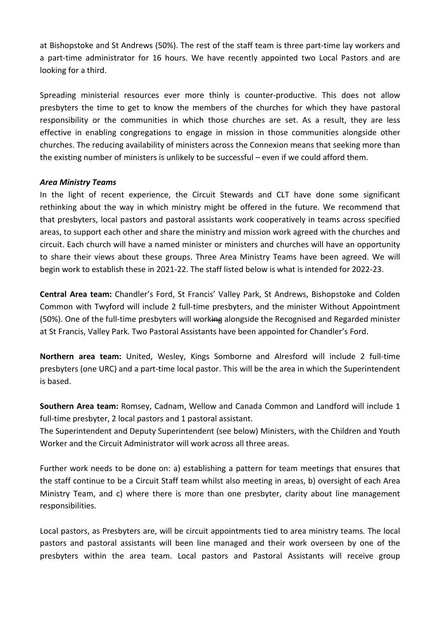at Bishopstoke and St Andrews (50%). The rest of the staff team is three part-time lay workers and a part-time administrator for 16 hours. We have recently appointed two Local Pastors and are looking for a third.

Spreading ministerial resources ever more thinly is counter-productive. This does not allow presbyters the time to get to know the members of the churches for which they have pastoral responsibility or the communities in which those churches are set. As a result, they are less effective in enabling congregations to engage in mission in those communities alongside other churches. The reducing availability of ministers across the Connexion means that seeking more than the existing number of ministers is unlikely to be successful – even if we could afford them.

#### *Area Ministry Teams*

In the light of recent experience, the Circuit Stewards and CLT have done some significant rethinking about the way in which ministry might be offered in the future. We recommend that that presbyters, local pastors and pastoral assistants work cooperatively in teams across specified areas, to support each other and share the ministry and mission work agreed with the churches and circuit. Each church will have a named minister or ministers and churches will have an opportunity to share their views about these groups. Three Area Ministry Teams have been agreed. We will begin work to establish these in 2021-22. The staff listed below is what is intended for 2022-23.

**Central Area team:** Chandler's Ford, St Francis' Valley Park, St Andrews, Bishopstoke and Colden Common with Twyford will include 2 full-time presbyters, and the minister Without Appointment (50%). One of the full-time presbyters will working alongside the Recognised and Regarded minister at St Francis, Valley Park. Two Pastoral Assistants have been appointed for Chandler's Ford.

**Northern area team:** United, Wesley, Kings Somborne and Alresford will include 2 full-time presbyters (one URC) and a part-time local pastor. This will be the area in which the Superintendent is based.

**Southern Area team:** Romsey, Cadnam, Wellow and Canada Common and Landford will include 1 full-time presbyter, 2 local pastors and 1 pastoral assistant.

The Superintendent and Deputy Superintendent (see below) Ministers, with the Children and Youth Worker and the Circuit Administrator will work across all three areas.

Further work needs to be done on: a) establishing a pattern for team meetings that ensures that the staff continue to be a Circuit Staff team whilst also meeting in areas, b) oversight of each Area Ministry Team, and c) where there is more than one presbyter, clarity about line management responsibilities.

Local pastors, as Presbyters are, will be circuit appointments tied to area ministry teams. The local pastors and pastoral assistants will been line managed and their work overseen by one of the presbyters within the area team. Local pastors and Pastoral Assistants will receive group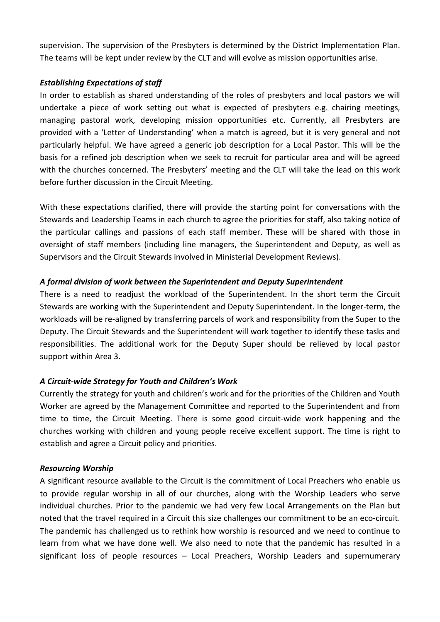supervision. The supervision of the Presbyters is determined by the District Implementation Plan. The teams will be kept under review by the CLT and will evolve as mission opportunities arise.

### *Establishing Expectations of staff*

In order to establish as shared understanding of the roles of presbyters and local pastors we will undertake a piece of work setting out what is expected of presbyters e.g. chairing meetings, managing pastoral work, developing mission opportunities etc. Currently, all Presbyters are provided with a 'Letter of Understanding' when a match is agreed, but it is very general and not particularly helpful. We have agreed a generic job description for a Local Pastor. This will be the basis for a refined job description when we seek to recruit for particular area and will be agreed with the churches concerned. The Presbyters' meeting and the CLT will take the lead on this work before further discussion in the Circuit Meeting.

With these expectations clarified, there will provide the starting point for conversations with the Stewards and Leadership Teams in each church to agree the priorities for staff, also taking notice of the particular callings and passions of each staff member. These will be shared with those in oversight of staff members (including line managers, the Superintendent and Deputy, as well as Supervisors and the Circuit Stewards involved in Ministerial Development Reviews).

### *A formal division of work between the Superintendent and Deputy Superintendent*

There is a need to readjust the workload of the Superintendent. In the short term the Circuit Stewards are working with the Superintendent and Deputy Superintendent. In the longer-term, the workloads will be re-aligned by transferring parcels of work and responsibility from the Super to the Deputy. The Circuit Stewards and the Superintendent will work together to identify these tasks and responsibilities. The additional work for the Deputy Super should be relieved by local pastor support within Area 3.

### *A Circuit-wide Strategy for Youth and Children's Work*

Currently the strategy for youth and children's work and for the priorities of the Children and Youth Worker are agreed by the Management Committee and reported to the Superintendent and from time to time, the Circuit Meeting. There is some good circuit-wide work happening and the churches working with children and young people receive excellent support. The time is right to establish and agree a Circuit policy and priorities.

#### *Resourcing Worship*

A significant resource available to the Circuit is the commitment of Local Preachers who enable us to provide regular worship in all of our churches, along with the Worship Leaders who serve individual churches. Prior to the pandemic we had very few Local Arrangements on the Plan but noted that the travel required in a Circuit this size challenges our commitment to be an eco-circuit. The pandemic has challenged us to rethink how worship is resourced and we need to continue to learn from what we have done well. We also need to note that the pandemic has resulted in a significant loss of people resources – Local Preachers, Worship Leaders and supernumerary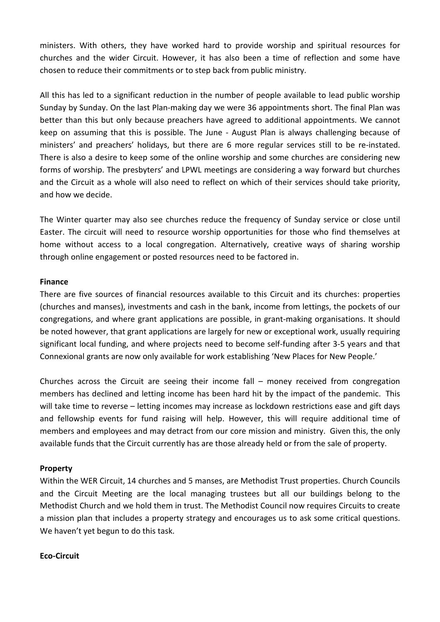ministers. With others, they have worked hard to provide worship and spiritual resources for churches and the wider Circuit. However, it has also been a time of reflection and some have chosen to reduce their commitments or to step back from public ministry.

All this has led to a significant reduction in the number of people available to lead public worship Sunday by Sunday. On the last Plan-making day we were 36 appointments short. The final Plan was better than this but only because preachers have agreed to additional appointments. We cannot keep on assuming that this is possible. The June - August Plan is always challenging because of ministers' and preachers' holidays, but there are 6 more regular services still to be re-instated. There is also a desire to keep some of the online worship and some churches are considering new forms of worship. The presbyters' and LPWL meetings are considering a way forward but churches and the Circuit as a whole will also need to reflect on which of their services should take priority, and how we decide.

The Winter quarter may also see churches reduce the frequency of Sunday service or close until Easter. The circuit will need to resource worship opportunities for those who find themselves at home without access to a local congregation. Alternatively, creative ways of sharing worship through online engagement or posted resources need to be factored in.

#### **Finance**

There are five sources of financial resources available to this Circuit and its churches: properties (churches and manses), investments and cash in the bank, income from lettings, the pockets of our congregations, and where grant applications are possible, in grant-making organisations. It should be noted however, that grant applications are largely for new or exceptional work, usually requiring significant local funding, and where projects need to become self-funding after 3-5 years and that Connexional grants are now only available for work establishing 'New Places for New People.'

Churches across the Circuit are seeing their income fall – money received from congregation members has declined and letting income has been hard hit by the impact of the pandemic. This will take time to reverse – letting incomes may increase as lockdown restrictions ease and gift days and fellowship events for fund raising will help. However, this will require additional time of members and employees and may detract from our core mission and ministry. Given this, the only available funds that the Circuit currently has are those already held or from the sale of property.

#### **Property**

Within the WER Circuit, 14 churches and 5 manses, are Methodist Trust properties. Church Councils and the Circuit Meeting are the local managing trustees but all our buildings belong to the Methodist Church and we hold them in trust. The Methodist Council now requires Circuits to create a mission plan that includes a property strategy and encourages us to ask some critical questions. We haven't yet begun to do this task.

#### **Eco-Circuit**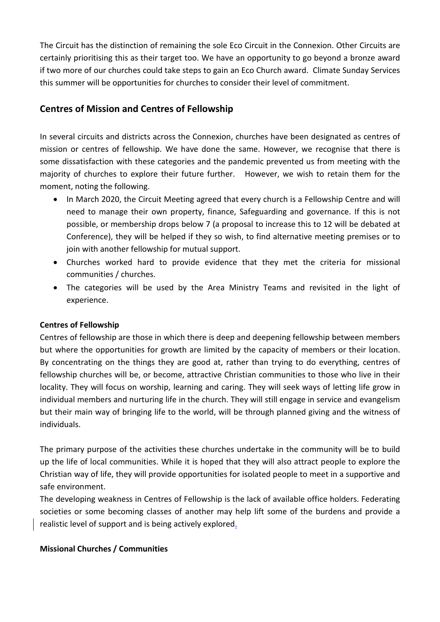The Circuit has the distinction of remaining the sole Eco Circuit in the Connexion. Other Circuits are certainly prioritising this as their target too. We have an opportunity to go beyond a bronze award if two more of our churches could take steps to gain an Eco Church award. Climate Sunday Services this summer will be opportunities for churches to consider their level of commitment.

# **Centres of Mission and Centres of Fellowship**

In several circuits and districts across the Connexion, churches have been designated as centres of mission or centres of fellowship. We have done the same. However, we recognise that there is some dissatisfaction with these categories and the pandemic prevented us from meeting with the majority of churches to explore their future further. However, we wish to retain them for the moment, noting the following.

- In March 2020, the Circuit Meeting agreed that every church is a Fellowship Centre and will need to manage their own property, finance, Safeguarding and governance. If this is not possible, or membership drops below 7 (a proposal to increase this to 12 will be debated at Conference), they will be helped if they so wish, to find alternative meeting premises or to join with another fellowship for mutual support.
- Churches worked hard to provide evidence that they met the criteria for missional communities / churches.
- The categories will be used by the Area Ministry Teams and revisited in the light of experience.

### **Centres of Fellowship**

Centres of fellowship are those in which there is deep and deepening fellowship between members but where the opportunities for growth are limited by the capacity of members or their location. By concentrating on the things they are good at, rather than trying to do everything, centres of fellowship churches will be, or become, attractive Christian communities to those who live in their locality. They will focus on worship, learning and caring. They will seek ways of letting life grow in individual members and nurturing life in the church. They will still engage in service and evangelism but their main way of bringing life to the world, will be through planned giving and the witness of individuals.

The primary purpose of the activities these churches undertake in the community will be to build up the life of local communities. While it is hoped that they will also attract people to explore the Christian way of life, they will provide opportunities for isolated people to meet in a supportive and safe environment.

The developing weakness in Centres of Fellowship is the lack of available office holders. Federating societies or some becoming classes of another may help lift some of the burdens and provide a realistic level of support and is being actively explored.

#### **Missional Churches / Communities**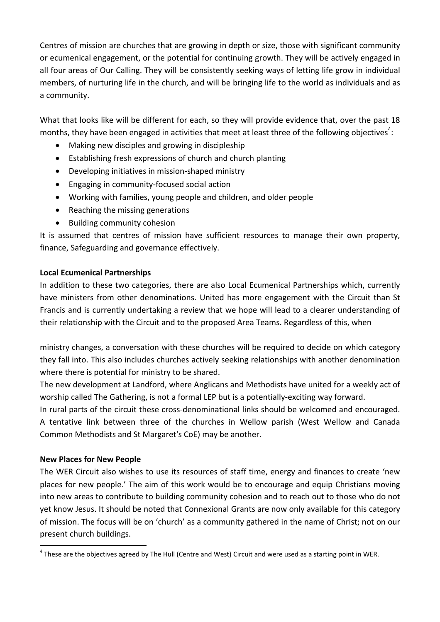Centres of mission are churches that are growing in depth or size, those with significant community or ecumenical engagement, or the potential for continuing growth. They will be actively engaged in all four areas of Our Calling. They will be consistently seeking ways of letting life grow in individual members, of nurturing life in the church, and will be bringing life to the world as individuals and as a community.

What that looks like will be different for each, so they will provide evidence that, over the past 18 months, they have been engaged in activities that meet at least three of the following objectives $^4$ :

- Making new disciples and growing in discipleship
- Establishing fresh expressions of church and church planting
- Developing initiatives in mission-shaped ministry
- Engaging in community-focused social action
- Working with families, young people and children, and older people
- Reaching the missing generations
- Building community cohesion

It is assumed that centres of mission have sufficient resources to manage their own property, finance, Safeguarding and governance effectively.

### **Local Ecumenical Partnerships**

In addition to these two categories, there are also Local Ecumenical Partnerships which, currently have ministers from other denominations. United has more engagement with the Circuit than St Francis and is currently undertaking a review that we hope will lead to a clearer understanding of their relationship with the Circuit and to the proposed Area Teams. Regardless of this, when

ministry changes, a conversation with these churches will be required to decide on which category they fall into. This also includes churches actively seeking relationships with another denomination where there is potential for ministry to be shared.

The new development at Landford, where Anglicans and Methodists have united for a weekly act of worship called The Gathering, is not a formal LEP but is a potentially-exciting way forward.

In rural parts of the circuit these cross-denominational links should be welcomed and encouraged. A tentative link between three of the churches in Wellow parish (West Wellow and Canada Common Methodists and St Margaret's CoE) may be another.

# **New Places for New People**

The WER Circuit also wishes to use its resources of staff time, energy and finances to create 'new places for new people.' The aim of this work would be to encourage and equip Christians moving into new areas to contribute to building community cohesion and to reach out to those who do not yet know Jesus. It should be noted that Connexional Grants are now only available for this category of mission. The focus will be on 'church' as a community gathered in the name of Christ; not on our present church buildings.

 $\overline{a}$ <sup>4</sup> These are the objectives agreed by The Hull (Centre and West) Circuit and were used as a starting point in WER.